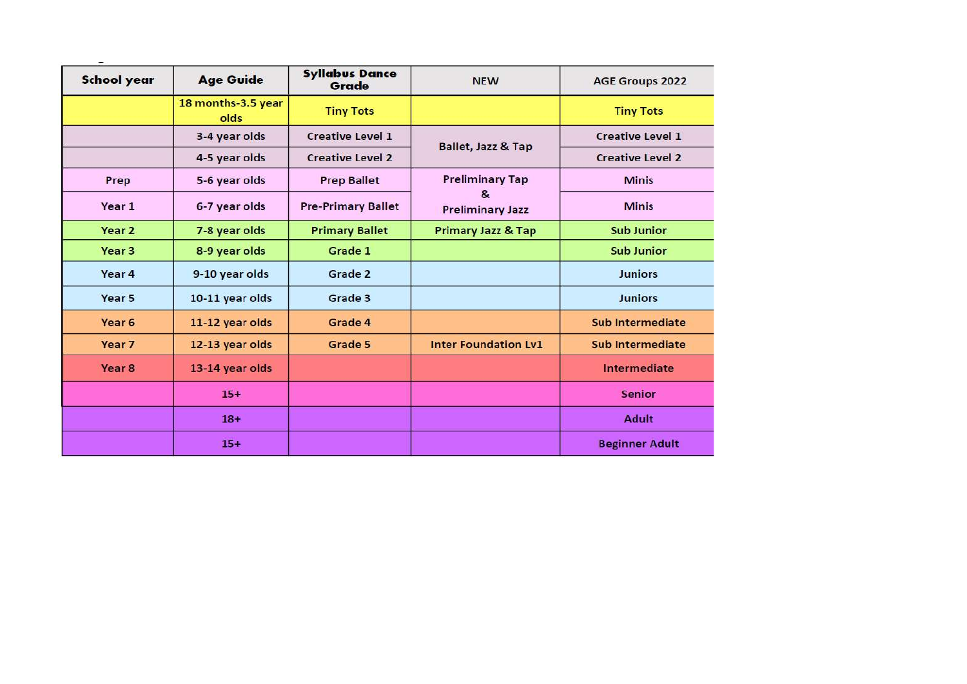| <b>School year</b> | <b>Age Guide</b>           | <b>Syllabus Dance</b><br>Grade | <b>NEW</b>                                                        | <b>AGE Groups 2022</b>  |
|--------------------|----------------------------|--------------------------------|-------------------------------------------------------------------|-------------------------|
|                    | 18 months-3.5 year<br>olds | <b>Tiny Tots</b>               |                                                                   | <b>Tiny Tots</b>        |
|                    | 3-4 year olds              | <b>Creative Level 1</b>        | <b>Ballet, Jazz &amp; Tap</b>                                     | <b>Creative Level 1</b> |
|                    | 4-5 year olds              | <b>Creative Level 2</b>        |                                                                   | <b>Creative Level 2</b> |
| Prep               | 5-6 year olds              | <b>Prep Ballet</b>             | <b>Preliminary Tap</b><br>$\mathbf{g}$<br><b>Preliminary Jazz</b> | <b>Minis</b>            |
| Year 1             | 6-7 year olds              | <b>Pre-Primary Ballet</b>      |                                                                   | <b>Minis</b>            |
| Year 2             | 7-8 year olds              | <b>Primary Ballet</b>          | <b>Primary Jazz &amp; Tap</b>                                     | <b>Sub Junior</b>       |
| Year 3             | 8-9 year olds              | Grade 1                        |                                                                   | <b>Sub Junior</b>       |
| Year 4             | 9-10 year olds             | Grade 2                        |                                                                   | <b>Juniors</b>          |
| Year 5             | 10-11 year olds            | Grade 3                        |                                                                   | <b>Juniors</b>          |
| Year 6             | 11-12 year olds            | Grade 4                        |                                                                   | <b>Sub Intermediate</b> |
| Year 7             | 12-13 year olds            | Grade 5                        | <b>Inter Foundation Lv1</b>                                       | Sub Intermediate        |
| Year 8             | 13-14 year olds            |                                |                                                                   | Intermediate            |
|                    | $15+$                      |                                |                                                                   | <b>Senior</b>           |
|                    | $18+$                      |                                |                                                                   | <b>Adult</b>            |
|                    | $15+$                      |                                |                                                                   | <b>Beginner Adult</b>   |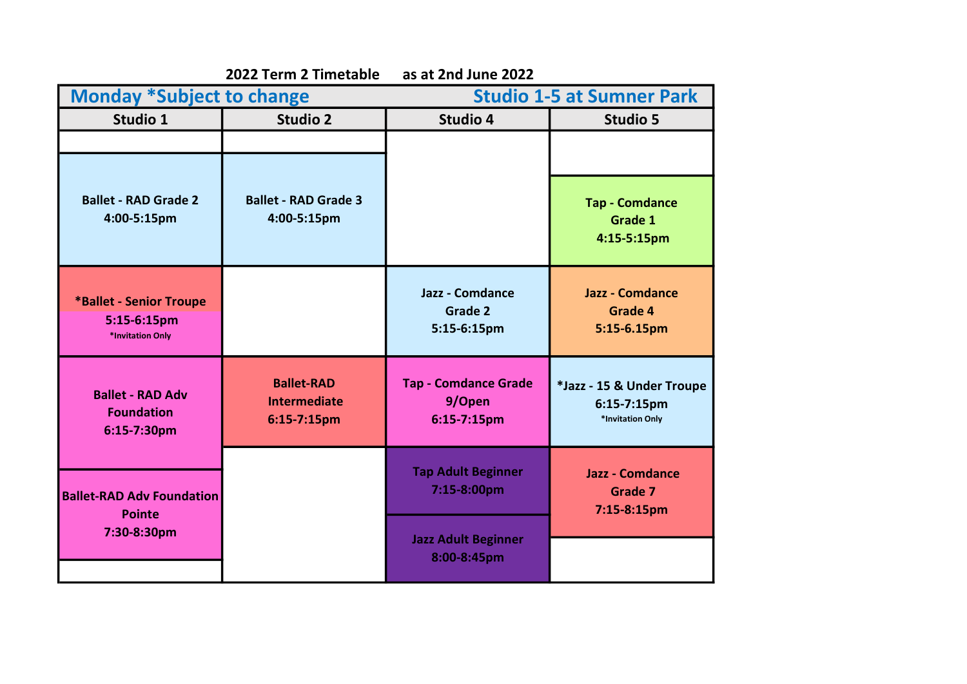|                                                                  | 2022 Term 2 Timetable                                   | as at 2nd June 2022                                     |                                                              |
|------------------------------------------------------------------|---------------------------------------------------------|---------------------------------------------------------|--------------------------------------------------------------|
| <b>Monday *Subject to change</b>                                 |                                                         | <b>Studio 1-5 at Sumner Park</b>                        |                                                              |
| Studio 1                                                         | <b>Studio 2</b>                                         | Studio 4                                                | <b>Studio 5</b>                                              |
|                                                                  |                                                         |                                                         |                                                              |
| <b>Ballet - RAD Grade 2</b><br>4:00-5:15pm                       | <b>Ballet - RAD Grade 3</b><br>4:00-5:15pm              |                                                         | <b>Tap - Comdance</b><br>Grade 1<br>4:15-5:15pm              |
| *Ballet - Senior Troupe<br>5:15-6:15pm<br>*Invitation Only       |                                                         | Jazz - Comdance<br><b>Grade 2</b><br>5:15-6:15pm        | <b>Jazz - Comdance</b><br>Grade 4<br>5:15-6.15pm             |
| <b>Ballet - RAD Adv</b><br><b>Foundation</b><br>6:15-7:30pm      | <b>Ballet-RAD</b><br><b>Intermediate</b><br>6:15-7:15pm | <b>Tap - Comdance Grade</b><br>9/Open<br>$6:15-7:15$ pm | *Jazz - 15 & Under Troupe<br>6:15-7:15pm<br>*Invitation Only |
| <b>Ballet-RAD Adv Foundation</b><br><b>Pointe</b><br>7:30-8:30pm |                                                         | <b>Tap Adult Beginner</b><br>7:15-8:00pm                | <b>Jazz - Comdance</b><br><b>Grade 7</b><br>7:15-8:15pm      |
|                                                                  |                                                         | <b>Jazz Adult Beginner</b><br>8:00-8:45pm               |                                                              |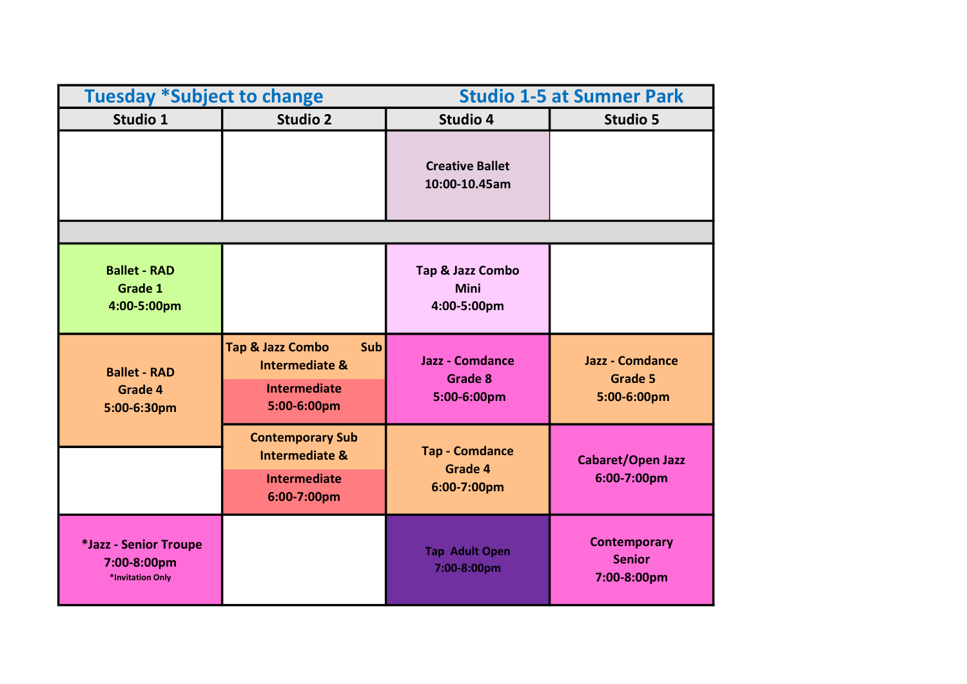| <b>Tuesday *Subject to change</b>                        |                                                                                                       | <b>Studio 1-5 at Sumner Park</b>                        |                                                         |
|----------------------------------------------------------|-------------------------------------------------------------------------------------------------------|---------------------------------------------------------|---------------------------------------------------------|
| Studio 1                                                 | <b>Studio 2</b>                                                                                       | Studio 4                                                | <b>Studio 5</b>                                         |
|                                                          |                                                                                                       | <b>Creative Ballet</b><br>10:00-10.45am                 |                                                         |
|                                                          |                                                                                                       |                                                         |                                                         |
| <b>Ballet - RAD</b><br>Grade 1<br>4:00-5:00pm            |                                                                                                       | Tap & Jazz Combo<br><b>Mini</b><br>4:00-5:00pm          |                                                         |
| <b>Ballet - RAD</b><br>Grade 4<br>5:00-6:30pm            | <b>Tap &amp; Jazz Combo</b><br>Sub<br><b>Intermediate &amp;</b><br><b>Intermediate</b><br>5:00-6:00pm | <b>Jazz - Comdance</b><br><b>Grade 8</b><br>5:00-6:00pm | <b>Jazz - Comdance</b><br><b>Grade 5</b><br>5:00-6:00pm |
|                                                          | <b>Contemporary Sub</b><br><b>Intermediate &amp;</b><br><b>Intermediate</b>                           | <b>Tap - Comdance</b><br>Grade 4                        | <b>Cabaret/Open Jazz</b><br>6:00-7:00pm                 |
|                                                          | 6:00-7:00pm                                                                                           | 6:00-7:00pm                                             |                                                         |
| *Jazz - Senior Troupe<br>7:00-8:00pm<br>*Invitation Only |                                                                                                       | <b>Tap Adult Open</b><br>7:00-8:00pm                    | <b>Contemporary</b><br><b>Senior</b><br>7:00-8:00pm     |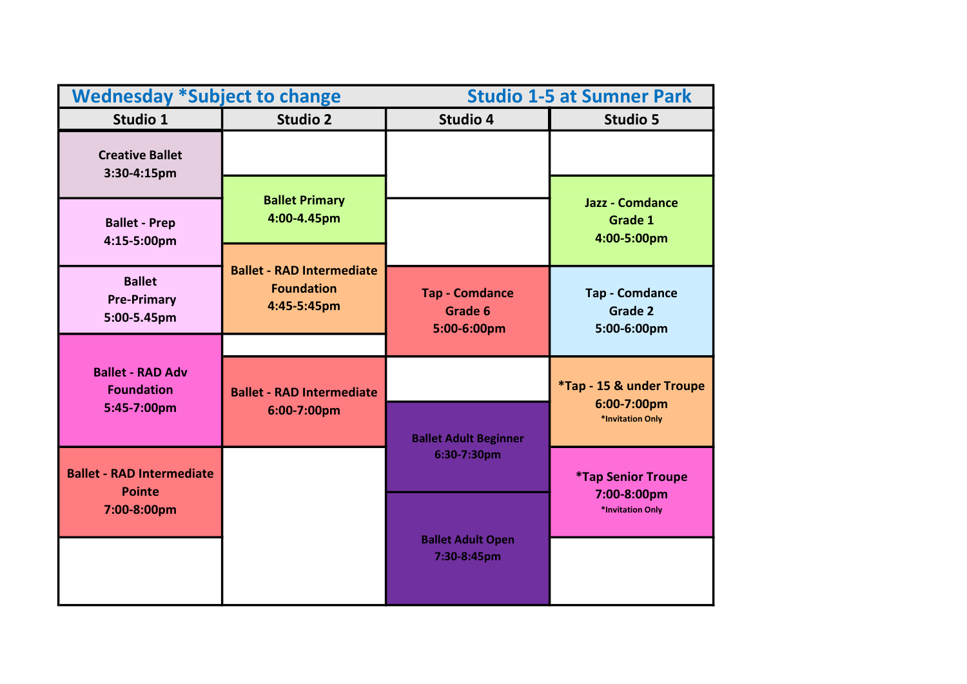| <b>Wednesday *Subject to change</b>                         |                                                                      | <b>Studio 1-5 at Sumner Park</b>                |                                                             |
|-------------------------------------------------------------|----------------------------------------------------------------------|-------------------------------------------------|-------------------------------------------------------------|
| Studio 1                                                    | <b>Studio 2</b>                                                      | <b>Studio 4</b>                                 | <b>Studio 5</b>                                             |
| <b>Creative Ballet</b><br>3:30-4:15pm                       |                                                                      |                                                 |                                                             |
| <b>Ballet - Prep</b><br>4:15-5:00pm                         | <b>Ballet Primary</b><br>4:00-4.45pm                                 |                                                 | <b>Jazz - Comdance</b><br>Grade 1<br>4:00-5:00pm            |
| <b>Ballet</b><br><b>Pre-Primary</b><br>5:00-5.45pm          | <b>Ballet - RAD Intermediate</b><br><b>Foundation</b><br>4:45-5:45pm | <b>Tap - Comdance</b><br>Grade 6<br>5:00-6:00pm | <b>Tap - Comdance</b><br><b>Grade 2</b><br>5:00-6:00pm      |
|                                                             |                                                                      |                                                 |                                                             |
| <b>Ballet - RAD Adv</b><br><b>Foundation</b><br>5:45-7:00pm | <b>Ballet - RAD Intermediate</b><br>6:00-7:00pm                      |                                                 | *Tap - 15 & under Troupe<br>6:00-7:00pm<br>*Invitation Only |
|                                                             |                                                                      | <b>Ballet Adult Beginner</b>                    |                                                             |
| <b>Ballet - RAD Intermediate</b><br><b>Pointe</b>           |                                                                      | 6:30-7:30pm                                     | <b>*Tap Senior Troupe</b>                                   |
| 7:00-8:00pm                                                 |                                                                      | <b>Ballet Adult Open</b><br>7:30-8:45pm         | 7:00-8:00pm<br>*Invitation Only                             |
|                                                             |                                                                      |                                                 |                                                             |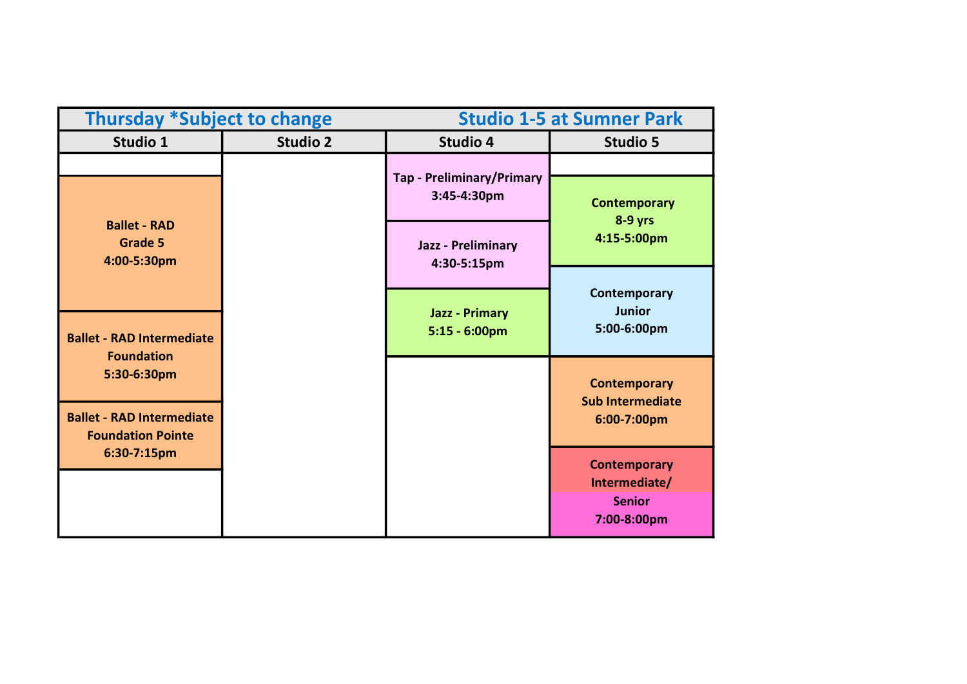| <b>Thursday *Subject to change</b>                                          |                 | <b>Studio 1-5 at Sumner Park</b>                |                                                               |
|-----------------------------------------------------------------------------|-----------------|-------------------------------------------------|---------------------------------------------------------------|
| Studio 1                                                                    | <b>Studio 2</b> | <b>Studio 4</b>                                 | <b>Studio 5</b>                                               |
|                                                                             |                 |                                                 |                                                               |
|                                                                             |                 | <b>Tap - Preliminary/Primary</b><br>3:45-4:30pm | <b>Contemporary</b><br>$8-9$ yrs                              |
| <b>Ballet - RAD</b><br>Grade 5<br>4:00-5:30pm                               |                 | <b>Jazz</b> - Preliminary<br>4:30-5:15pm        | 4:15-5:00pm                                                   |
|                                                                             |                 |                                                 |                                                               |
| <b>Ballet - RAD Intermediate</b><br><b>Foundation</b>                       |                 | <b>Jazz - Primary</b><br>$5:15 - 6:00$ pm       | Contemporary<br><b>Junior</b><br>5:00-6:00pm                  |
| 5:30-6:30pm<br><b>Ballet - RAD Intermediate</b><br><b>Foundation Pointe</b> |                 |                                                 | <b>Contemporary</b><br><b>Sub Intermediate</b><br>6:00-7:00pm |
| 6:30-7:15pm                                                                 |                 |                                                 | <b>Contemporary</b><br>Intermediate/                          |
|                                                                             |                 |                                                 | <b>Senior</b><br>7:00-8:00pm                                  |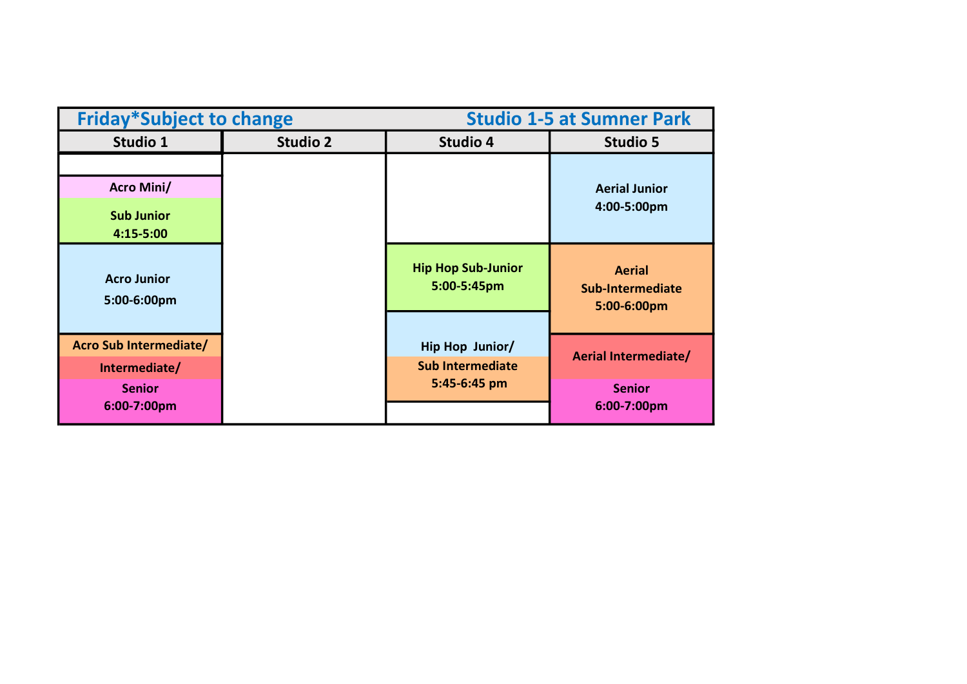| <b>Friday*Subject to change</b>                         |                 | <b>Studio 1-5 at Sumner Park</b>           |                                                  |
|---------------------------------------------------------|-----------------|--------------------------------------------|--------------------------------------------------|
| Studio 1                                                | <b>Studio 2</b> | <b>Studio 4</b>                            | <b>Studio 5</b>                                  |
| <b>Acro Mini/</b><br><b>Sub Junior</b><br>$4:15 - 5:00$ |                 |                                            | <b>Aerial Junior</b><br>4:00-5:00pm              |
| <b>Acro Junior</b><br>5:00-6:00pm                       |                 | <b>Hip Hop Sub-Junior</b><br>5:00-5:45pm   | <b>Aerial</b><br>Sub-Intermediate<br>5:00-6:00pm |
| Acro Sub Intermediate/<br>Intermediate/                 |                 | Hip Hop Junior/<br><b>Sub Intermediate</b> | Aerial Intermediate/                             |
| <b>Senior</b><br>6:00-7:00pm                            |                 | 5:45-6:45 pm                               | <b>Senior</b><br>6:00-7:00pm                     |